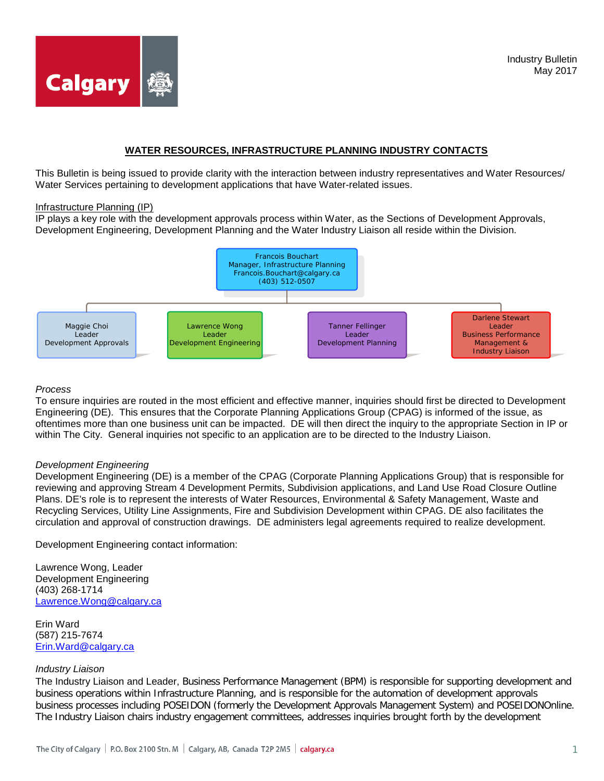

# **WATER RESOURCES, INFRASTRUCTURE PLANNING INDUSTRY CONTACTS**

This Bulletin is being issued to provide clarity with the interaction between industry representatives and Water Resources/ Water Services pertaining to development applications that have Water-related issues.

#### Infrastructure Planning (IP)

IP plays a key role with the development approvals process within Water, as the Sections of Development Approvals, Development Engineering, Development Planning and the Water Industry Liaison all reside within the Division.



# *Process*

To ensure inquiries are routed in the most efficient and effective manner, inquiries should first be directed to Development Engineering (DE). This ensures that the Corporate Planning Applications Group (CPAG) is informed of the issue, as oftentimes more than one business unit can be impacted. DE will then direct the inquiry to the appropriate Section in IP or within The City. General inquiries not specific to an application are to be directed to the Industry Liaison.

### *Development Engineering*

Development Engineering (DE) is a member of the CPAG (Corporate Planning Applications Group) that is responsible for reviewing and approving Stream 4 Development Permits, Subdivision applications, and Land Use Road Closure Outline Plans. DE's role is to represent the interests of Water Resources, Environmental & Safety Management, Waste and Recycling Services, Utility Line Assignments, Fire and Subdivision Development within CPAG. DE also facilitates the circulation and approval of construction drawings. DE administers legal agreements required to realize development.

Development Engineering contact information:

Lawrence Wong, Leader Development Engineering (403) 268-1714 [Lawrence.Wong@calgary.ca](mailto:Lawrence.Wong@calgary.ca)

Erin Ward (587) 215-7674 [Erin.Ward@calgary.ca](mailto:Erin.Ward@calgary.ca)

### *Industry Liaison*

The Industry Liaison and Leader, Business Performance Management (BPM) is responsible for supporting development and business operations within Infrastructure Planning, and is responsible for the automation of development approvals business processes including POSEIDON (formerly the Development Approvals Management System) and POSEIDONOnline. The Industry Liaison chairs industry engagement committees, addresses inquiries brought forth by the development